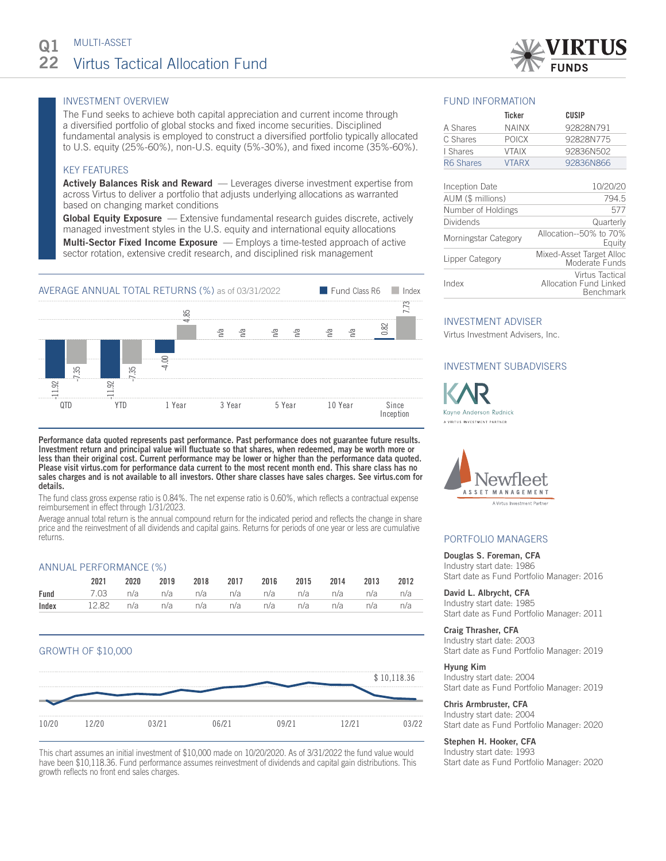

# INVESTMENT OVERVIEW

The Fund seeks to achieve both capital appreciation and current income through a diversified portfolio of global stocks and fixed income securities. Disciplined fundamental analysis is employed to construct a diversified portfolio typically allocated to U.S. equity (25%-60%), non-U.S. equity (5%-30%), and fixed income (35%-60%).

# KEY FEATURES

**Actively Balances Risk and Reward** — Leverages diverse investment expertise from across Virtus to deliver a portfolio that adjusts underlying allocations as warranted based on changing market conditions

**Global Equity Exposure** — Extensive fundamental research guides discrete, actively managed investment styles in the U.S. equity and international equity allocations Multi-Sector Fixed Income Exposure — Employs a time-tested approach of active sector rotation, extensive credit research, and disciplined risk management



Performance data quoted represents past performance. Past performance does not guarantee future results. Investment return and principal value will fluctuate so that shares, when redeemed, may be worth more or less than their original cost. Current performance may be lower or higher than the performance data quoted. Please visit virtus.com for performance data current to the most recent month end. This share class has no sales charges and is not available to all investors. Other share classes have sales charges. See virtus.com for details.

The fund class gross expense ratio is 0.84%. The net expense ratio is 0.60%, which reflects a contractual expense reimbursement in effect through 1/31/2023.

Average annual total return is the annual compound return for the indicated period and reflects the change in share price and the reinvestment of all dividends and capital gains. Returns for periods of one year or less are cumulative returns.

## ANNUAL PERFORMANCE (%)

| 2021                                                   |  |  | 2020 2019 2018 2017 2016 2015 2014 2013 2012 |  |  |
|--------------------------------------------------------|--|--|----------------------------------------------|--|--|
| <b>Fund</b> 7.03 n/a n/a n/a n/a n/a n/a n/a n/a n/a   |  |  |                                              |  |  |
| <b>Index</b> 12.82 n/a n/a n/a n/a n/a n/a n/a n/a n/a |  |  |                                              |  |  |

# GROWTH OF \$10,000



This chart assumes an initial investment of \$10,000 made on 10/20/2020. As of 3/31/2022 the fund value would have been \$10,118.36. Fund performance assumes reinvestment of dividends and capital gain distributions. This growth reflects no front end sales charges.

## FUND INFORMATION

|                | Ticker       | CUSIP     |  |  |
|----------------|--------------|-----------|--|--|
| A Shares       | <b>NAINX</b> | 92828N791 |  |  |
| C Shares       | <b>POICX</b> | 92828N775 |  |  |
| I Shares       | <b>VTAIX</b> | 92836N502 |  |  |
| R6 Shares      | <b>VTARX</b> | 92836N866 |  |  |
|                |              |           |  |  |
| Inception Date |              | 10/20/20  |  |  |

| AUM (\$ millions)    | 794.5                                                         |
|----------------------|---------------------------------------------------------------|
| Number of Holdings   | 577                                                           |
| Dividends            | Quarterly                                                     |
| Morningstar Category | Allocation--50% to 70%<br>Equity                              |
| Lipper Category      | Mixed-Asset Target Alloc<br>Moderate Funds                    |
| Index                | Virtus Tactical<br><b>Allocation Fund Linked</b><br>Benchmark |

## INVESTMENT ADVISER

Virtus Investment Advisers, Inc.

# INVESTMENT SUBADVISERS





## PORTFOLIO MANAGERS

#### Douglas S. Foreman, CFA

Industry start date: 1986 Start date as Fund Portfolio Manager: 2016

David L. Albrycht, CFA Industry start date: 1985 Start date as Fund Portfolio Manager: 2011

#### Craig Thrasher, CFA

Industry start date: 2003 Start date as Fund Portfolio Manager: 2019

#### Hyung Kim

Industry start date: 2004 Start date as Fund Portfolio Manager: 2019

## Chris Armbruster, CFA

Industry start date: 2004 Start date as Fund Portfolio Manager: 2020

#### Stephen H. Hooker, CFA

Industry start date: 1993 Start date as Fund Portfolio Manager: 2020